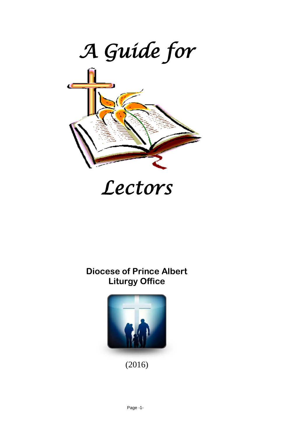

# *Lectors*

#### **Diocese of Prince Albert Liturgy Office**



(2016)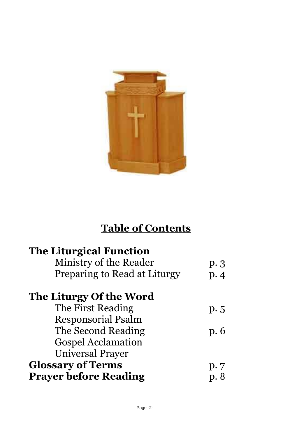

## **Table of Contents**

| <b>The Liturgical Function</b> |      |
|--------------------------------|------|
| Ministry of the Reader         | p.3  |
| Preparing to Read at Liturgy   | p.4  |
| The Liturgy Of the Word        |      |
| The First Reading              | p.5  |
| <b>Responsorial Psalm</b>      |      |
| The Second Reading             | p. 6 |
| <b>Gospel Acclamation</b>      |      |
| Universal Prayer               |      |
| <b>Glossary of Terms</b>       | p.7  |
| <b>Prayer before Reading</b>   | p.8  |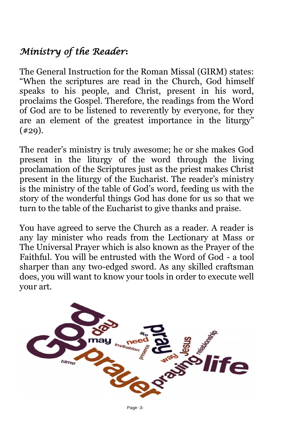## *Ministry of the Reader***:**

The General Instruction for the Roman Missal (GIRM) states: "When the scriptures are read in the Church, God himself speaks to his people, and Christ, present in his word, proclaims the Gospel. Therefore, the readings from the Word of God are to be listened to reverently by everyone, for they are an element of the greatest importance in the liturgy"  $(429)$ .

The reader's ministry is truly awesome; he or she makes God present in the liturgy of the word through the living proclamation of the Scriptures just as the priest makes Christ present in the liturgy of the Eucharist. The reader's ministry is the ministry of the table of God's word, feeding us with the story of the wonderful things God has done for us so that we turn to the table of the Eucharist to give thanks and praise.

You have agreed to serve the Church as a reader. A reader is any lay minister who reads from the Lectionary at Mass or The Universal Prayer which is also known as the Prayer of the Faithful. You will be entrusted with the Word of God - a tool sharper than any two-edged sword. As any skilled craftsman does, you will want to know your tools in order to execute well your art.



Page -3-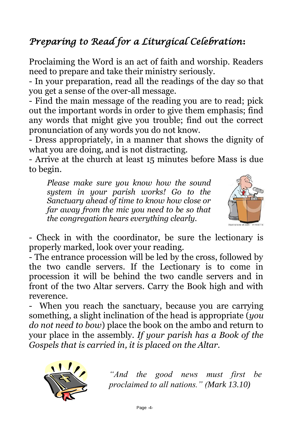## *Preparing to Read for a Liturgical Celebration***:**

Proclaiming the Word is an act of faith and worship. Readers need to prepare and take their ministry seriously.

- In your preparation, read all the readings of the day so that you get a sense of the over-all message.

- Find the main message of the reading you are to read; pick out the important words in order to give them emphasis; find any words that might give you trouble; find out the correct pronunciation of any words you do not know.

- Dress appropriately, in a manner that shows the dignity of what you are doing, and is not distracting.

- Arrive at the church at least 15 minutes before Mass is due to begin.

*Please make sure you know how the sound system in your parish works! Go to the Sanctuary ahead of time to know how close or far away from the mic you need to be so that the congregation hears everything clearly.*



- Check in with the coordinator, be sure the lectionary is properly marked, look over your reading.

- The entrance procession will be led by the cross, followed by the two candle servers. If the Lectionary is to come in procession it will be behind the two candle servers and in front of the two Altar servers. Carry the Book high and with reverence.

When you reach the sanctuary, because you are carrying something, a slight inclination of the head is appropriate (*you do not need to bow*) place the book on the ambo and return to your place in the assembly. *If your parish has a Book of the Gospels that is carried in, it is placed on the Altar.*



*"And the good news must first be proclaimed to all nations." (Mark 13.10)*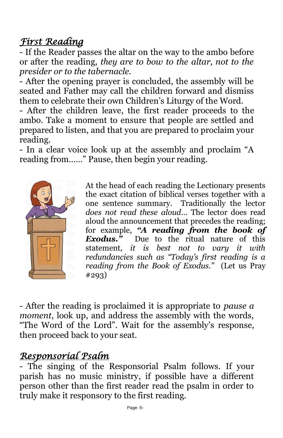### *First Reading*

- If the Reader passes the altar on the way to the ambo before or after the reading, *they are to bow to the altar, not to the presider or to the tabernacle.*

- After the opening prayer is concluded, the assembly will be seated and Father may call the children forward and dismiss them to celebrate their own Children's Liturgy of the Word.

- After the children leave, the first reader proceeds to the ambo. Take a moment to ensure that people are settled and prepared to listen, and that you are prepared to proclaim your reading.

- In a clear voice look up at the assembly and proclaim "A reading from……" Pause, then begin your reading.



At the head of each reading the Lectionary presents the exact citation of biblical verses together with a one sentence summary. Traditionally the lector *does not read these aloud*… The lector does read aloud the announcement that precedes the reading; for example, *"A reading from the book of Exodus."* Due to the ritual nature of this statement*, it is best not to vary it with redundancies such as "Today's first reading is a reading from the Book of Exodus."* (Let us Pray #293)

- After the reading is proclaimed it is appropriate to *pause a moment*, look up, and address the assembly with the words, "The Word of the Lord". Wait for the assembly's response, then proceed back to your seat.

#### *Responsorial Psalm*

- The singing of the Responsorial Psalm follows. If your parish has no music ministry, if possible have a different person other than the first reader read the psalm in order to truly make it responsory to the first reading.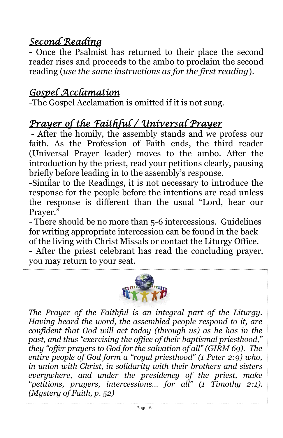### *Second Reading*

- Once the Psalmist has returned to their place the second reader rises and proceeds to the ambo to proclaim the second reading (*use the same instructions as for the first reading*).

#### *Gospel Acclamation*

-The Gospel Acclamation is omitted if it is not sung.

## *Prayer of the Faithful / Universal Prayer*

- After the homily, the assembly stands and we profess our faith. As the Profession of Faith ends, the third reader (Universal Prayer leader) moves to the ambo. After the introduction by the priest, read your petitions clearly, pausing briefly before leading in to the assembly's response.

-Similar to the Readings, it is not necessary to introduce the response for the people before the intentions are read unless the response is different than the usual "Lord, hear our Prayer."

- There should be no more than 5-6 intercessions. Guidelines for writing appropriate intercession can be found in the back of the living with Christ Missals or contact the Liturgy Office. - After the priest celebrant has read the concluding prayer, you may return to your seat.



*The Prayer of the Faithful is an integral part of the Liturgy. Having heard the word, the assembled people respond to it, are confident that God will act today (through us) as he has in the past, and thus "exercising the office of their baptismal priesthood," they "offer prayers to God for the salvation of all" (GIRM 69). The entire people of God form a "royal priesthood" (1 Peter 2:9) who, in union with Christ, in solidarity with their brothers and sisters everywhere, and under the presidency of the priest, make "petitions, prayers, intercessions… for all" (1 Timothy 2:1). (Mystery of Faith, p. 52)*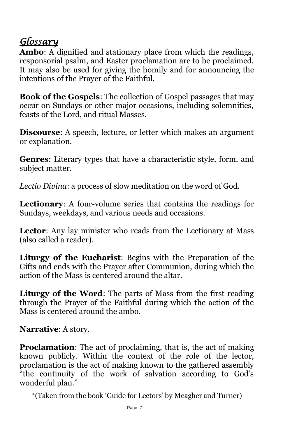#### *Glossary*

**Ambo**: A dignified and stationary place from which the readings, responsorial psalm, and Easter proclamation are to be proclaimed. It may also be used for giving the homily and for announcing the intentions of the Prayer of the Faithful.

**Book of the Gospels**: The collection of Gospel passages that may occur on Sundays or other major occasions, including solemnities, feasts of the Lord, and ritual Masses.

**Discourse**: A speech, lecture, or letter which makes an argument or explanation.

**Genres**: Literary types that have a characteristic style, form, and subject matter.

*Lectio Divina*: a process of slow meditation on the word of God.

**Lectionary**: A four-volume series that contains the readings for Sundays, weekdays, and various needs and occasions.

**Lector**: Any lay minister who reads from the Lectionary at Mass (also called a reader).

**Liturgy of the Eucharist**: Begins with the Preparation of the Gifts and ends with the Prayer after Communion, during which the action of the Mass is centered around the altar.

**Liturgy of the Word**: The parts of Mass from the first reading through the Prayer of the Faithful during which the action of the Mass is centered around the ambo.

**Narrative**: A story.

**Proclamation**: The act of proclaiming, that is, the act of making known publicly. Within the context of the role of the lector, proclamation is the act of making known to the gathered assembly "the continuity of the work of salvation according to God's wonderful plan."

\*(Taken from the book 'Guide for Lectors' by Meagher and Turner)